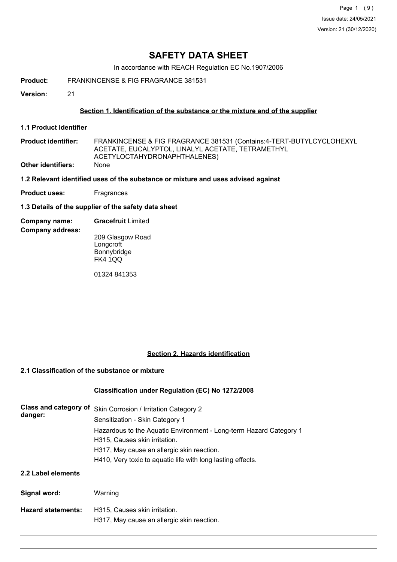Page 1 (9) Issue date: 24/05/2021 Version: 21 (30/12/2020)

# **SAFETY DATA SHEET**

In accordance with REACH Regulation EC No.1907/2006

- **Product:** FRANKINCENSE & FIG FRAGRANCE 381531
- **Version:** 21

## **Section 1. Identification of the substance or the mixture and of the supplier**

**1.1 Product Identifier**

**Company address:**

- FRANKINCENSE & FIG FRAGRANCE 381531 (Contains:4-TERT-BUTYLCYCLOHEXYL ACETATE, EUCALYPTOL, LINALYL ACETATE, TETRAMETHYL ACETYLOCTAHYDRONAPHTHALENES) **Product identifier: Other identifiers:** None
- **1.2 Relevant identified uses of the substance or mixture and uses advised against**
- **Product uses:** Fragrances
- **1.3 Details of the supplier of the safety data sheet**
- **Company name: Gracefruit** Limited
	- 209 Glasgow Road **Longcroft Bonnybridge** FK4 1QQ

01324 841353

## **Section 2. Hazards identification**

## **2.1 Classification of the substance or mixture**

## **Classification under Regulation (EC) No 1272/2008**

| Class and category of<br>danger: | Skin Corrosion / Irritation Category 2<br>Sensitization - Skin Category 1<br>Hazardous to the Aquatic Environment - Long-term Hazard Category 1<br>H315, Causes skin irritation.<br>H317, May cause an allergic skin reaction.<br>H410, Very toxic to aquatic life with long lasting effects. |
|----------------------------------|-----------------------------------------------------------------------------------------------------------------------------------------------------------------------------------------------------------------------------------------------------------------------------------------------|
| 2.2 Label elements               |                                                                                                                                                                                                                                                                                               |
| Signal word:                     | Warning                                                                                                                                                                                                                                                                                       |
| <b>Hazard statements:</b>        | H315. Causes skin irritation.<br>H317, May cause an allergic skin reaction.                                                                                                                                                                                                                   |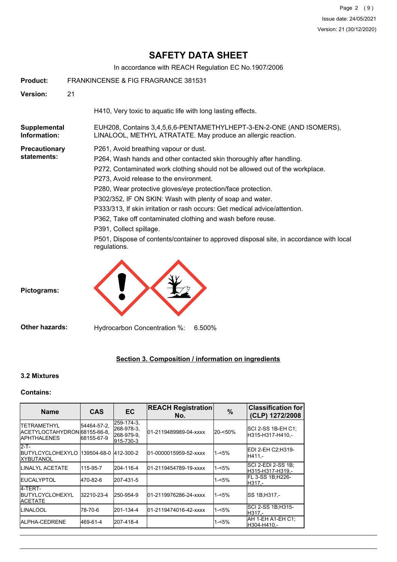# **SAFETY DATA SHEET**

In accordance with REACH Regulation EC No.1907/2006

| <b>Product:</b>                     | FRANKINCENSE & FIG FRAGRANCE 381531                                                                                                                                                                                                                                                                                                                                                                                                                                                                                                                                                                                                                      |
|-------------------------------------|----------------------------------------------------------------------------------------------------------------------------------------------------------------------------------------------------------------------------------------------------------------------------------------------------------------------------------------------------------------------------------------------------------------------------------------------------------------------------------------------------------------------------------------------------------------------------------------------------------------------------------------------------------|
| <b>Version:</b>                     | 21                                                                                                                                                                                                                                                                                                                                                                                                                                                                                                                                                                                                                                                       |
|                                     | H410, Very toxic to aquatic life with long lasting effects.                                                                                                                                                                                                                                                                                                                                                                                                                                                                                                                                                                                              |
| Supplemental<br>Information:        | EUH208, Contains 3,4,5,6,6-PENTAMETHYLHEPT-3-EN-2-ONE (AND ISOMERS),<br>LINALOOL, METHYL ATRATATE. May produce an allergic reaction.                                                                                                                                                                                                                                                                                                                                                                                                                                                                                                                     |
| <b>Precautionary</b><br>statements: | P261, Avoid breathing vapour or dust.<br>P264, Wash hands and other contacted skin thoroughly after handling.<br>P272, Contaminated work clothing should not be allowed out of the workplace.<br>P273, Avoid release to the environment.<br>P280, Wear protective gloves/eye protection/face protection.<br>P302/352, IF ON SKIN: Wash with plenty of soap and water.<br>P333/313, If skin irritation or rash occurs: Get medical advice/attention.<br>P362, Take off contaminated clothing and wash before reuse.<br>P391, Collect spillage.<br>P501, Dispose of contents/container to approved disposal site, in accordance with local<br>regulations. |
| Pictograms:                         |                                                                                                                                                                                                                                                                                                                                                                                                                                                                                                                                                                                                                                                          |

**Other hazards:** Hydrocarbon Concentration %: 6.500%

## **Section 3. Composition / information on ingredients**

## **3.2 Mixtures**

## **Contains:**

| <b>Name</b>                                                                | <b>CAS</b>                | <b>EC</b>                                           | <b>REACH Registration</b><br>No. | $\frac{9}{6}$ | <b>Classification for</b><br>(CLP) 1272/2008 |
|----------------------------------------------------------------------------|---------------------------|-----------------------------------------------------|----------------------------------|---------------|----------------------------------------------|
| <b>ITETRAMETHYL</b><br>ACETYLOCTAHYDRON 68155-66-8.<br><b>IAPHTHALENES</b> | 54464-57-2.<br>68155-67-9 | 259-174-3,<br>268-978-3.<br>268-979-9.<br>915-730-3 | 01-2119489989-04-xxxx            | 20-<50%       | SCI 2-SS 1B-EH C1:<br>H315-H317-H410.-       |
| $2-T -$<br><b>IBUTYLCYCLOHEXYLO</b><br><b>IXYBUTANOL</b>                   | 139504-68-0               | 412-300-2                                           | 01-0000015959-52-xxxx            | $1 - 5%$      | EDI 2-EH C2:H319-<br>H411.-                  |
| <b>ILINALYL ACETATE</b>                                                    | 115-95-7                  | 204-116-4                                           | 01-2119454789-19-xxxx            | $1 - 5%$      | ISCI 2-EDI 2-SS 1B:<br>lH315-H317-H319.-     |
| <b>IEUCALYPTOL</b>                                                         | 470-82-6                  | 207-431-5                                           |                                  | $1 - 5%$      | IFL 3-SS 1B:H226-<br>H317.-                  |
| 4-TERT-<br><b>IBUTYLCYCLOHEXYL</b><br><b>IACETATE</b>                      | 32210-23-4                | 250-954-9                                           | 01-2119976286-24-xxxx            | $1 - 5%$      | SS 1B:H317.-                                 |
| ILINALOOL                                                                  | 78-70-6                   | 201-134-4                                           | 01-2119474016-42-xxxx            | $1 - 5%$      | ISCI 2-SS 1B:H315-<br>IH317.-                |
| IALPHA-CEDRENE                                                             | 469-61-4                  | 207-418-4                                           |                                  | $1 - 5%$      | AH 1-EH A1-EH C1:<br>H304-H410.-             |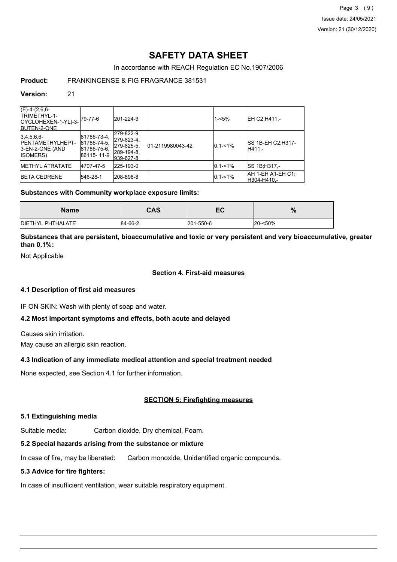Page 3 (9) Issue date: 24/05/2021 Version: 21 (30/12/2020)

# **SAFETY DATA SHEET**

In accordance with REACH Regulation EC No.1907/2006

## **Product:** FRANKINCENSE & FIG FRAGRANCE 381531

#### **Version:** 21

| $(E)-4-(2,6,6-$<br>ITRIMETHYL-1-<br>$CYCLOHEXEN-1-YL)-3-79-77-6$<br><b>IBUTEN-2-ONE</b> |                                                         | 201-224-3                                                         |                  | $1 - 5%$    | EH C2:H411.-                       |
|-----------------------------------------------------------------------------------------|---------------------------------------------------------|-------------------------------------------------------------------|------------------|-------------|------------------------------------|
| 3,4,5,6,6<br><b>IPENTAMETHYLHEPT-</b><br>3-EN-2-ONE (AND<br><b>ISOMERS</b>              | 81786-73-4.<br>81786-74-5.<br>81786-75-6,<br>86115-11-9 | 279-822-9,<br>279-823-4,<br>279-825-5.<br>289-194-8.<br>939-627-8 | 01-2119980043-42 | $0.1 - 1\%$ | <b>SS 1B-EH C2:H317-</b><br>H411.- |
| <b>IMETHYL ATRATATE</b>                                                                 | 4707-47-5                                               | 225-193-0                                                         |                  | $0.1 - 1\%$ | SS 1B:H317.-                       |
| <b>IBETA CEDRENE</b>                                                                    | 546-28-1                                                | 208-898-8                                                         |                  | $0.1 - 1\%$ | AH 1-EH A1-EH C1:<br>H304-H410.-   |

## **Substances with Community workplace exposure limits:**

| Name                      | CAS     | -0<br>EV. | %       |
|---------------------------|---------|-----------|---------|
| <b>IDIETHYL PHTHALATE</b> | 84-66-2 | 201-550-6 | 20-<50% |

**Substances that are persistent, bioaccumulative and toxic or very persistent and very bioaccumulative, greater than 0.1%:**

Not Applicable

### **Section 4. First-aid measures**

## **4.1 Description of first aid measures**

IF ON SKIN: Wash with plenty of soap and water.

## **4.2 Most important symptoms and effects, both acute and delayed**

Causes skin irritation.

May cause an allergic skin reaction.

## **4.3 Indication of any immediate medical attention and special treatment needed**

None expected, see Section 4.1 for further information.

## **SECTION 5: Firefighting measures**

## **5.1 Extinguishing media**

Suitable media: Carbon dioxide, Dry chemical, Foam.

## **5.2 Special hazards arising from the substance or mixture**

In case of fire, may be liberated: Carbon monoxide, Unidentified organic compounds.

## **5.3 Advice for fire fighters:**

In case of insufficient ventilation, wear suitable respiratory equipment.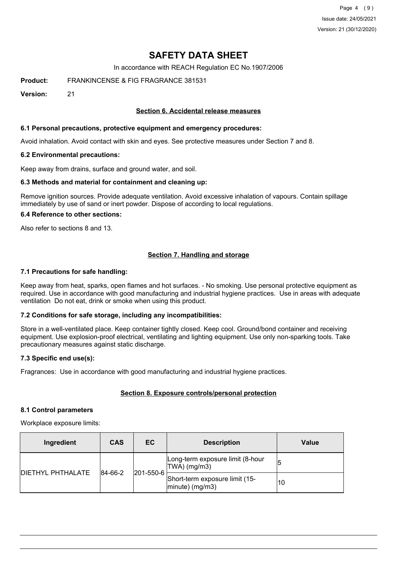Page 4 (9) Issue date: 24/05/2021 Version: 21 (30/12/2020)

# **SAFETY DATA SHEET**

In accordance with REACH Regulation EC No.1907/2006

**Product:** FRANKINCENSE & FIG FRAGRANCE 381531

**Version:** 21

## **Section 6. Accidental release measures**

## **6.1 Personal precautions, protective equipment and emergency procedures:**

Avoid inhalation. Avoid contact with skin and eyes. See protective measures under Section 7 and 8.

#### **6.2 Environmental precautions:**

Keep away from drains, surface and ground water, and soil.

## **6.3 Methods and material for containment and cleaning up:**

Remove ignition sources. Provide adequate ventilation. Avoid excessive inhalation of vapours. Contain spillage immediately by use of sand or inert powder. Dispose of according to local regulations.

#### **6.4 Reference to other sections:**

Also refer to sections 8 and 13.

## **Section 7. Handling and storage**

#### **7.1 Precautions for safe handling:**

Keep away from heat, sparks, open flames and hot surfaces. - No smoking. Use personal protective equipment as required. Use in accordance with good manufacturing and industrial hygiene practices. Use in areas with adequate ventilation Do not eat, drink or smoke when using this product.

## **7.2 Conditions for safe storage, including any incompatibilities:**

Store in a well-ventilated place. Keep container tightly closed. Keep cool. Ground/bond container and receiving equipment. Use explosion-proof electrical, ventilating and lighting equipment. Use only non-sparking tools. Take precautionary measures against static discharge.

## **7.3 Specific end use(s):**

Fragrances: Use in accordance with good manufacturing and industrial hygiene practices.

## **Section 8. Exposure controls/personal protection**

#### **8.1 Control parameters**

Workplace exposure limits:

| Ingredient                | <b>CAS</b> | EC        | <b>Description</b>                                   | <b>Value</b> |
|---------------------------|------------|-----------|------------------------------------------------------|--------------|
| <b>IDIETHYL PHTHALATE</b> | 84-66-2    | 201-550-6 | Long-term exposure limit (8-hour<br>$ TWA $ (mg/m3)  |              |
|                           |            |           | Short-term exposure limit (15-<br>$ minute)$ (mg/m3) | 10           |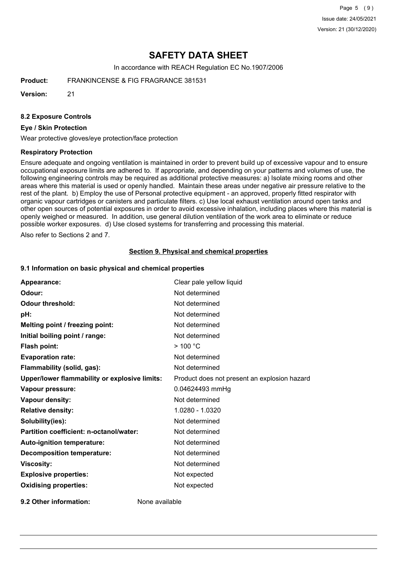Page 5 (9) Issue date: 24/05/2021 Version: 21 (30/12/2020)

# **SAFETY DATA SHEET**

In accordance with REACH Regulation EC No.1907/2006

**Product:** FRANKINCENSE & FIG FRAGRANCE 381531

**Version:** 21

### **8.2 Exposure Controls**

## **Eye / Skin Protection**

Wear protective gloves/eye protection/face protection

#### **Respiratory Protection**

Ensure adequate and ongoing ventilation is maintained in order to prevent build up of excessive vapour and to ensure occupational exposure limits are adhered to. If appropriate, and depending on your patterns and volumes of use, the following engineering controls may be required as additional protective measures: a) Isolate mixing rooms and other areas where this material is used or openly handled. Maintain these areas under negative air pressure relative to the rest of the plant. b) Employ the use of Personal protective equipment - an approved, properly fitted respirator with organic vapour cartridges or canisters and particulate filters. c) Use local exhaust ventilation around open tanks and other open sources of potential exposures in order to avoid excessive inhalation, including places where this material is openly weighed or measured. In addition, use general dilution ventilation of the work area to eliminate or reduce possible worker exposures. d) Use closed systems for transferring and processing this material.

Also refer to Sections 2 and 7.

#### **Section 9. Physical and chemical properties**

#### **9.1 Information on basic physical and chemical properties**

| Appearance:                                   | Clear pale yellow liquid                     |
|-----------------------------------------------|----------------------------------------------|
| Odour:                                        | Not determined                               |
| <b>Odour threshold:</b>                       | Not determined                               |
| pH:                                           | Not determined                               |
| Melting point / freezing point:               | Not determined                               |
| Initial boiling point / range:                | Not determined                               |
| Flash point:                                  | $>$ 100 °C                                   |
| <b>Evaporation rate:</b>                      | Not determined                               |
| Flammability (solid, gas):                    | Not determined                               |
| Upper/lower flammability or explosive limits: | Product does not present an explosion hazard |
| Vapour pressure:                              | 0.04624493 mmHg                              |
| <b>Vapour density:</b>                        | Not determined                               |
| <b>Relative density:</b>                      | 1.0280 - 1.0320                              |
| Solubility(ies):                              | Not determined                               |
| Partition coefficient: n-octanol/water:       | Not determined                               |
| Auto-ignition temperature:                    | Not determined                               |
| <b>Decomposition temperature:</b>             | Not determined                               |
| <b>Viscosity:</b>                             | Not determined                               |
| <b>Explosive properties:</b>                  | Not expected                                 |
| <b>Oxidising properties:</b>                  | Not expected                                 |
|                                               |                                              |

**9.2 Other information:** None available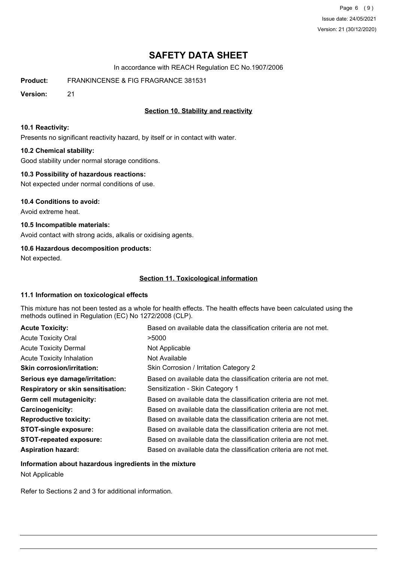Page 6 (9) Issue date: 24/05/2021 Version: 21 (30/12/2020)

# **SAFETY DATA SHEET**

In accordance with REACH Regulation EC No.1907/2006

**Product:** FRANKINCENSE & FIG FRAGRANCE 381531

**Version:** 21

## **Section 10. Stability and reactivity**

### **10.1 Reactivity:**

Presents no significant reactivity hazard, by itself or in contact with water.

## **10.2 Chemical stability:**

Good stability under normal storage conditions.

## **10.3 Possibility of hazardous reactions:**

Not expected under normal conditions of use.

## **10.4 Conditions to avoid:**

Avoid extreme heat.

## **10.5 Incompatible materials:**

Avoid contact with strong acids, alkalis or oxidising agents.

## **10.6 Hazardous decomposition products:**

Not expected.

## **Section 11. Toxicological information**

## **11.1 Information on toxicological effects**

This mixture has not been tested as a whole for health effects. The health effects have been calculated using the methods outlined in Regulation (EC) No 1272/2008 (CLP).

| <b>Acute Toxicity:</b>                    | Based on available data the classification criteria are not met. |
|-------------------------------------------|------------------------------------------------------------------|
| <b>Acute Toxicity Oral</b>                | >5000                                                            |
| <b>Acute Toxicity Dermal</b>              | Not Applicable                                                   |
| <b>Acute Toxicity Inhalation</b>          | Not Available                                                    |
| <b>Skin corrosion/irritation:</b>         | Skin Corrosion / Irritation Category 2                           |
| Serious eye damage/irritation:            | Based on available data the classification criteria are not met. |
| <b>Respiratory or skin sensitisation:</b> | Sensitization - Skin Category 1                                  |
| Germ cell mutagenicity:                   | Based on available data the classification criteria are not met. |
| <b>Carcinogenicity:</b>                   | Based on available data the classification criteria are not met. |
| <b>Reproductive toxicity:</b>             | Based on available data the classification criteria are not met. |
| <b>STOT-single exposure:</b>              | Based on available data the classification criteria are not met. |
| <b>STOT-repeated exposure:</b>            | Based on available data the classification criteria are not met. |
| <b>Aspiration hazard:</b>                 | Based on available data the classification criteria are not met. |

## **Information about hazardous ingredients in the mixture** Not Applicable

Refer to Sections 2 and 3 for additional information.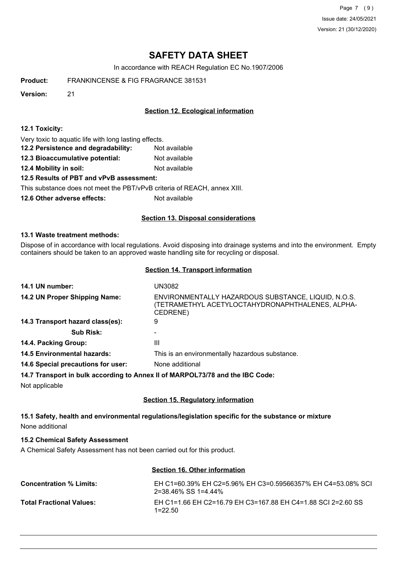Page 7 (9) Issue date: 24/05/2021 Version: 21 (30/12/2020)

# **SAFETY DATA SHEET**

In accordance with REACH Regulation EC No.1907/2006

**Product:** FRANKINCENSE & FIG FRAGRANCE 381531

**Version:** 21

## **Section 12. Ecological information**

#### **12.1 Toxicity:**

Very toxic to aquatic life with long lasting effects.

- **12.2 Persistence and degradability:** Not available
- **12.3 Bioaccumulative potential:** Not available
- **12.4 Mobility in soil:** Not available

## **12.5 Results of PBT and vPvB assessment:**

This substance does not meet the PBT/vPvB criteria of REACH, annex XIII.

**12.6 Other adverse effects:** Not available

## **Section 13. Disposal considerations**

#### **13.1 Waste treatment methods:**

Dispose of in accordance with local regulations. Avoid disposing into drainage systems and into the environment. Empty containers should be taken to an approved waste handling site for recycling or disposal.

#### **Section 14. Transport information**

| 14.1 UN number:                                                               | UN3082                                                                                                              |
|-------------------------------------------------------------------------------|---------------------------------------------------------------------------------------------------------------------|
| 14.2 UN Proper Shipping Name:                                                 | ENVIRONMENTALLY HAZARDOUS SUBSTANCE, LIQUID, N.O.S.<br>(TETRAMETHYL ACETYLOCTAHYDRONAPHTHALENES, ALPHA-<br>CEDRENE) |
| 14.3 Transport hazard class(es):                                              | 9                                                                                                                   |
| <b>Sub Risk:</b>                                                              |                                                                                                                     |
| 14.4. Packing Group:                                                          | Ш                                                                                                                   |
| <b>14.5 Environmental hazards:</b>                                            | This is an environmentally hazardous substance.                                                                     |
| 14.6 Special precautions for user:                                            | None additional                                                                                                     |
| 14.7 Transport in bulk according to Annex II of MARPOL73/78 and the IBC Code: |                                                                                                                     |
| Not applicable                                                                |                                                                                                                     |

## **Section 15. Regulatory information**

**15.1 Safety, health and environmental regulations/legislation specific for the substance or mixture** None additional

## **15.2 Chemical Safety Assessment**

A Chemical Safety Assessment has not been carried out for this product.

## **Section 16. Other information**

| <b>Concentration % Limits:</b>  | EH C1=60.39% EH C2=5.96% EH C3=0.59566357% EH C4=53.08% SCL<br>$2 = 38.46\%$ SS 1=4.44% |
|---------------------------------|-----------------------------------------------------------------------------------------|
| <b>Total Fractional Values:</b> | EH C1=1.66 EH C2=16.79 EH C3=167.88 EH C4=1.88 SCI 2=2.60 SS<br>$1=22.50$               |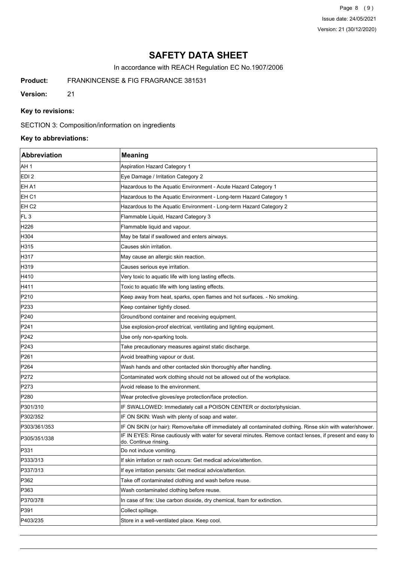Page 8 (9) Issue date: 24/05/2021 Version: 21 (30/12/2020)

# **SAFETY DATA SHEET**

In accordance with REACH Regulation EC No.1907/2006

**Product:** FRANKINCENSE & FIG FRAGRANCE 381531

**Version:** 21

## **Key to revisions:**

SECTION 3: Composition/information on ingredients

## **Key to abbreviations:**

| <b>Abbreviation</b> | <b>Meaning</b>                                                                                                                      |
|---------------------|-------------------------------------------------------------------------------------------------------------------------------------|
| AH 1                | Aspiration Hazard Category 1                                                                                                        |
| EDI <sub>2</sub>    | Eye Damage / Irritation Category 2                                                                                                  |
| EH A1               | Hazardous to the Aquatic Environment - Acute Hazard Category 1                                                                      |
| EH C1               | Hazardous to the Aquatic Environment - Long-term Hazard Category 1                                                                  |
| EH C2               | Hazardous to the Aquatic Environment - Long-term Hazard Category 2                                                                  |
| FL <sub>3</sub>     | Flammable Liquid, Hazard Category 3                                                                                                 |
| H226                | Flammable liquid and vapour.                                                                                                        |
| H304                | May be fatal if swallowed and enters airways.                                                                                       |
| H315                | Causes skin irritation.                                                                                                             |
| H317                | May cause an allergic skin reaction.                                                                                                |
| H319                | Causes serious eye irritation.                                                                                                      |
| H410                | Very toxic to aquatic life with long lasting effects.                                                                               |
| H411                | Toxic to aquatic life with long lasting effects.                                                                                    |
| P210                | Keep away from heat, sparks, open flames and hot surfaces. - No smoking.                                                            |
| P233                | Keep container tightly closed.                                                                                                      |
| P240                | Ground/bond container and receiving equipment.                                                                                      |
| P241                | Use explosion-proof electrical, ventilating and lighting equipment.                                                                 |
| P242                | Use only non-sparking tools.                                                                                                        |
| P243                | Take precautionary measures against static discharge.                                                                               |
| P261                | Avoid breathing vapour or dust.                                                                                                     |
| P <sub>264</sub>    | Wash hands and other contacted skin thoroughly after handling.                                                                      |
| P272                | Contaminated work clothing should not be allowed out of the workplace.                                                              |
| P273                | Avoid release to the environment.                                                                                                   |
| P280                | Wear protective gloves/eye protection/face protection.                                                                              |
| P301/310            | IF SWALLOWED: Immediately call a POISON CENTER or doctor/physician.                                                                 |
| P302/352            | IF ON SKIN: Wash with plenty of soap and water.                                                                                     |
| P303/361/353        | IF ON SKIN (or hair): Remove/take off immediately all contaminated clothing. Rinse skin with water/shower.                          |
| P305/351/338        | IF IN EYES: Rinse cautiously with water for several minutes. Remove contact lenses, if present and easy to<br>do. Continue rinsing. |
| P331                | Do not induce vomiting.                                                                                                             |
| P333/313            | If skin irritation or rash occurs: Get medical advice/attention.                                                                    |
| P337/313            | If eye irritation persists: Get medical advice/attention.                                                                           |
| P362                | Take off contaminated clothing and wash before reuse.                                                                               |
| P363                | Wash contaminated clothing before reuse.                                                                                            |
| P370/378            | In case of fire: Use carbon dioxide, dry chemical, foam for extinction.                                                             |
| P391                | Collect spillage.                                                                                                                   |
| P403/235            | Store in a well-ventilated place. Keep cool.                                                                                        |
|                     |                                                                                                                                     |